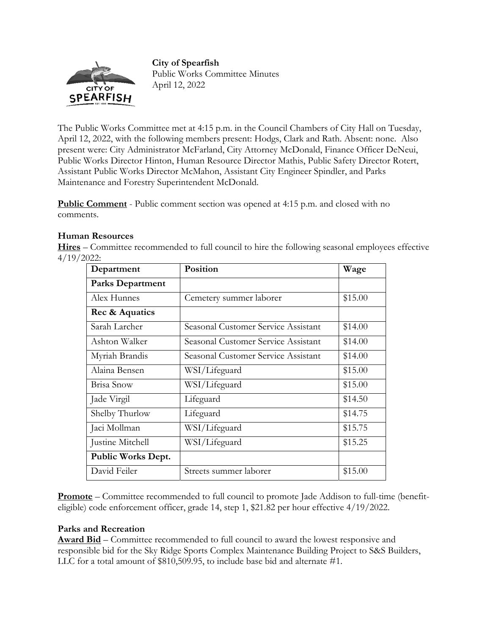**City of Spearfish** 



Public Works Committee Minutes April 12, 2022

The Public Works Committee met at 4:15 p.m. in the Council Chambers of City Hall on Tuesday, April 12, 2022, with the following members present: Hodgs, Clark and Rath. Absent: none. Also present were: City Administrator McFarland, City Attorney McDonald, Finance Officer DeNeui, Public Works Director Hinton, Human Resource Director Mathis, Public Safety Director Rotert, Assistant Public Works Director McMahon, Assistant City Engineer Spindler, and Parks Maintenance and Forestry Superintendent McDonald.

**Public Comment** - Public comment section was opened at 4:15 p.m. and closed with no comments.

## **Human Resources**

**Hires** – Committee recommended to full council to hire the following seasonal employees effective 4/19/2022:

| Department                | Position                            | Wage    |
|---------------------------|-------------------------------------|---------|
| <b>Parks Department</b>   |                                     |         |
| Alex Hunnes               | Cemetery summer laborer             | \$15.00 |
| Rec & Aquatics            |                                     |         |
| Sarah Larcher             | Seasonal Customer Service Assistant | \$14.00 |
| Ashton Walker             | Seasonal Customer Service Assistant | \$14.00 |
| Myriah Brandis            | Seasonal Customer Service Assistant | \$14.00 |
| Alaina Bensen             | WSI/Lifeguard                       | \$15.00 |
| Brisa Snow                | WSI/Lifeguard                       | \$15.00 |
| Jade Virgil               | Lifeguard                           | \$14.50 |
| Shelby Thurlow            | Lifeguard                           | \$14.75 |
| Jaci Mollman              | WSI/Lifeguard                       | \$15.75 |
| Justine Mitchell          | WSI/Lifeguard                       | \$15.25 |
| <b>Public Works Dept.</b> |                                     |         |
| David Feiler              | Streets summer laborer              | \$15.00 |

**Promote** – Committee recommended to full council to promote Jade Addison to full-time (benefiteligible) code enforcement officer, grade 14, step 1, \$21.82 per hour effective 4/19/2022.

## **Parks and Recreation**

**Award Bid** – Committee recommended to full council to award the lowest responsive and responsible bid for the Sky Ridge Sports Complex Maintenance Building Project to S&S Builders, LLC for a total amount of \$810,509.95, to include base bid and alternate #1.